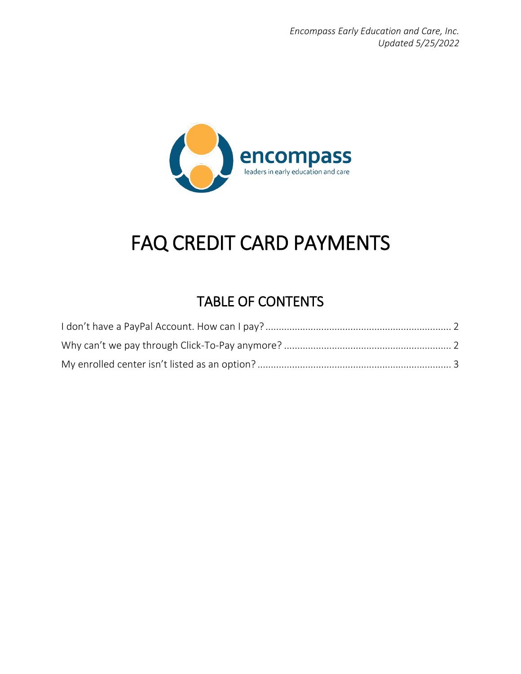

# FAQ CREDIT CARD PAYMENTS

## TABLE OF CONTENTS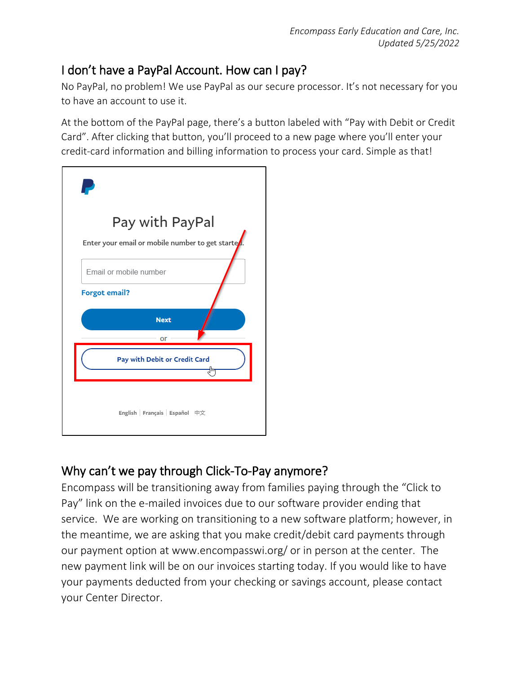#### <span id="page-1-0"></span>I don't have a PayPal Account. How can I pay?

No PayPal, no problem! We use PayPal as our secure processor. It's not necessary for you to have an account to use it.

At the bottom of the PayPal page, there's a button labeled with "Pay with Debit or Credit Card". After clicking that button, you'll proceed to a new page where you'll enter your credit-card information and billing information to process your card. Simple as that!



### <span id="page-1-1"></span>Why can't we pay through Click-To-Pay anymore?

Encompass will be transitioning away from families paying through the "Click to Pay" link on the e-mailed invoices due to our software provider ending that service. We are working on transitioning to a new software platform; however, in the meantime, we are asking that you make credit/debit card payments through our payment option at www.encompasswi.org/ or in person at the center. The new payment link will be on our invoices starting today. If you would like to have your payments deducted from your checking or savings account, please contact your Center Director.